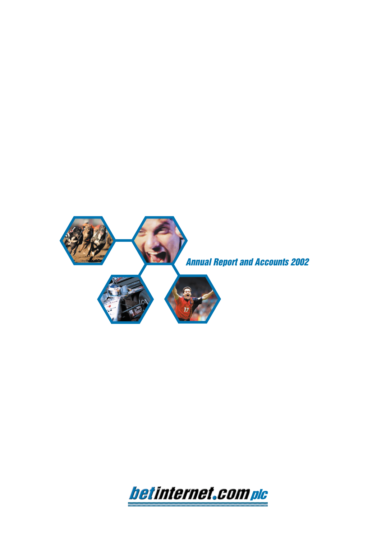

betinternet.com plc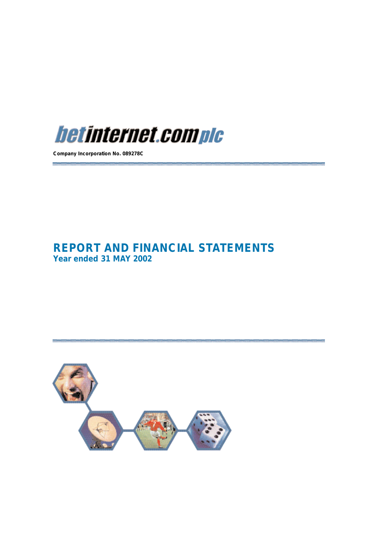

**Company Incorporation No. 089278C**

# **REPORT AND FINANCIAL STATEMENTS Year ended 31 MAY 2002**

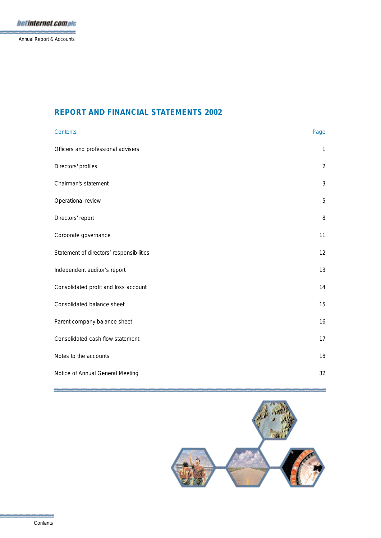

# **REPORT AND FINANCIAL STATEMENTS 2002**

| Contents                                 | Page           |
|------------------------------------------|----------------|
| Officers and professional advisers       | $\mathbf{1}$   |
| Directors' profiles                      | $\overline{2}$ |
| Chairman's statement                     | $\mathfrak{Z}$ |
| Operational review                       | 5              |
| Directors' report                        | $\, 8$         |
| Corporate governance                     | 11             |
| Statement of directors' responsibilities | 12             |
| Independent auditor's report             | 13             |
| Consolidated profit and loss account     | 14             |
| Consolidated balance sheet               | 15             |
| Parent company balance sheet             | 16             |
| Consolidated cash flow statement         | 17             |
| Notes to the accounts                    | 18             |
| Notice of Annual General Meeting         | 32             |

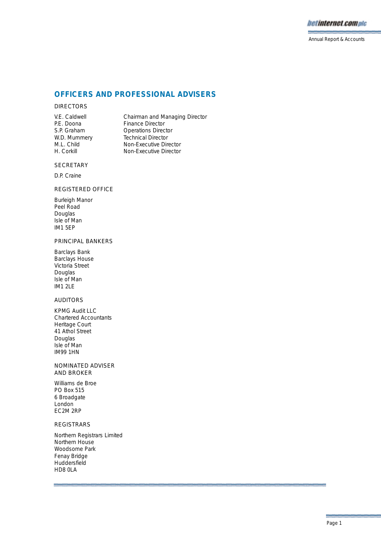

# **OFFICERS AND PROFESSIONAL ADVISERS**

#### DIRECTORS

- W.D. Mummery<br>M.L. Child
- V.E. Caldwell Chairman and Managing Director<br>
P.E. Doona Finance Director P.E. Doona Finance Director<br>
S.P. Graham Coperations Director Operations Director<br>Technical Director M.L. Child (M.L. Child Non-Executive Director<br>
H. Corkill (Non-Executive Director Non-Executive Director

#### **SECRETARY**

D.P. Craine

#### REGISTERED OFFICE

Burleigh Manor Peel Road Douglas Isle of Man IM1 5EP

#### PRINCIPAL BANKERS

Barclays Bank Barclays House Victoria Street Douglas Isle of Man IM1 2LE

### **AUDITORS**

KPMG Audit LLC Chartered Accountants Heritage Court 41 Athol Street Douglas Isle of Man IM99 1HN

#### NOMINATED ADVISER AND BROKER

Williams de Broe PO Box 515 6 Broadgate London EC2M 2RP

# REGISTRARS

Northern Registrars Limited Northern House Woodsome Park Fenay Bridge **Huddersfield** HD8 0LA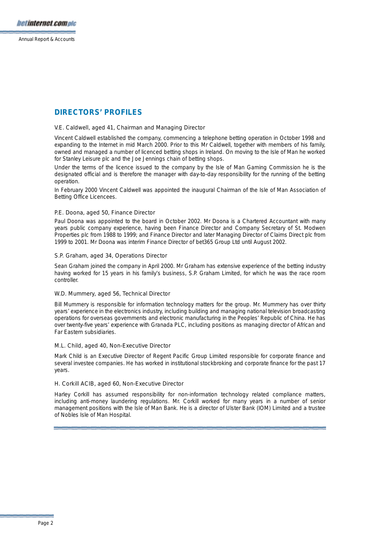# **DIRECTORS' PROFILES**

#### V.E. Caldwell, aged 41, Chairman and Managing Director

Vincent Caldwell established the company, commencing a telephone betting operation in October 1998 and expanding to the Internet in mid March 2000. Prior to this Mr Caldwell, together with members of his family, owned and managed a number of licenced betting shops in Ireland. On moving to the Isle of Man he worked for Stanley Leisure plc and the Joe Jennings chain of betting shops.

Under the terms of the licence issued to the company by the Isle of Man Gaming Commission he is the designated official and is therefore the manager with day-to-day responsibility for the running of the betting operation.

In February 2000 Vincent Caldwell was appointed the inaugural Chairman of the Isle of Man Association of Betting Office Licencees.

#### P.E. Doona, aged 50, Finance Director

Paul Doona was appointed to the board in October 2002. Mr Doona is a Chartered Accountant with many years public company experience, having been Finance Director and Company Secretary of St. Modwen Properties plc from 1988 to 1999; and Finance Director and later Managing Director of Claims Direct plc from 1999 to 2001. Mr Doona was interim Finance Director of bet365 Group Ltd until August 2002.

#### S.P. Graham, aged 34, Operations Director

Sean Graham joined the company in April 2000. Mr Graham has extensive experience of the betting industry having worked for 15 years in his family's business, S.P. Graham Limited, for which he was the race room controller.

#### W.D. Mummery, aged 56, Technical Director

Bill Mummery is responsible for information technology matters for the group. Mr. Mummery has over thirty years' experience in the electronics industry, including building and managing national television broadcasting operations for overseas governments and electronic manufacturing in the Peoples' Republic of China. He has over twenty-five years' experience with Granada PLC, including positions as managing director of African and Far Eastern subsidiaries.

#### M.L. Child, aged 40, Non-Executive Director

Mark Child is an Executive Director of Regent Pacific Group Limited responsible for corporate finance and several investee companies. He has worked in institutional stockbroking and corporate finance for the past 17 years.

#### H. Corkill ACIB, aged 60, Non-Executive Director

Harley Corkill has assumed responsibility for non-information technology related compliance matters, including anti-money laundering regulations. Mr. Corkill worked for many years in a number of senior management positions with the Isle of Man Bank. He is a director of Ulster Bank (IOM) Limited and a trustee of Nobles Isle of Man Hospital.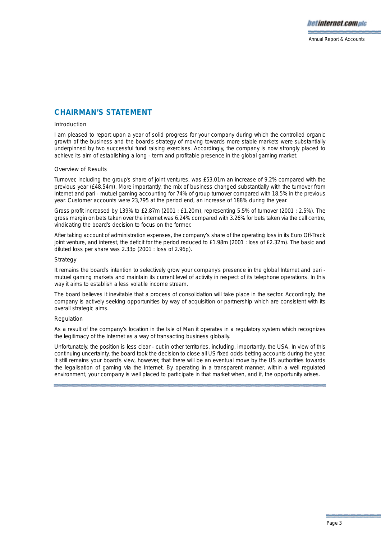# **CHAIRMAN'S STATEMENT**

#### Introduction

I am pleased to report upon a year of solid progress for your company during which the controlled organic growth of the business and the board's strategy of moving towards more stable markets were substantially underpinned by two successful fund raising exercises. Accordingly, the company is now strongly placed to achieve its aim of establishing a long - term and profitable presence in the global gaming market.

#### Overview of Results

Turnover, including the group's share of joint ventures, was £53.01m an increase of 9.2% compared with the previous year (£48.54m). More importantly, the mix of business changed substantially with the turnover from Internet and pari - mutuel gaming accounting for 74% of group turnover compared with 18.5% in the previous year. Customer accounts were 23,795 at the period end, an increase of 188% during the year.

Gross profit increased by 139% to £2.87m (2001 : £1.20m), representing 5.5% of turnover (2001 : 2.5%). The gross margin on bets taken over the internet was 6.24% compared with 3.26% for bets taken via the call centre, vindicating the board's decision to focus on the former.

After taking account of administration expenses, the company's share of the operating loss in its Euro Off-Track joint venture, and interest, the deficit for the period reduced to £1.98m (2001 : loss of £2.32m). The basic and diluted loss per share was 2.33p (2001 : loss of 2.96p).

#### **Strategy**

It remains the board's intention to selectively grow your company's presence in the global Internet and pari mutuel gaming markets and maintain its current level of activity in respect of its telephone operations. In this way it aims to establish a less volatile income stream.

The board believes it inevitable that a process of consolidation will take place in the sector. Accordingly, the company is actively seeking opportunities by way of acquisition or partnership which are consistent with its overall strategic aims.

#### **Regulation**

As a result of the company's location in the Isle of Man it operates in a regulatory system which recognizes the legitimacy of the Internet as a way of transacting business globally.

Unfortunately, the position is less clear - cut in other territories, including, importantly, the USA. In view of this continuing uncertainty, the board took the decision to close all US fixed odds betting accounts during the year. It still remains your board's view, however, that there will be an eventual move by the US authorities towards the legalisation of gaming via the Internet. By operating in a transparent manner, within a well regulated environment, your company is well placed to participate in that market when, and if, the opportunity arises.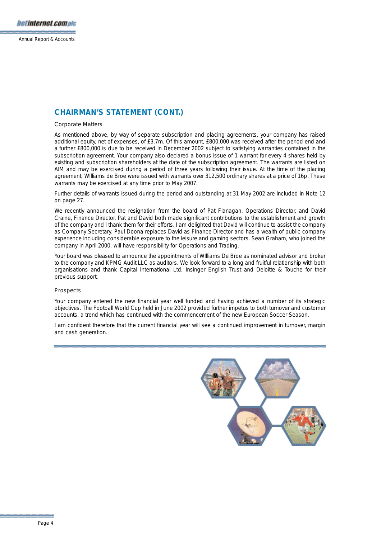

# **CHAIRMAN'S STATEMENT (CONT.)**

#### Corporate Matters

As mentioned above, by way of separate subscription and placing agreements, your company has raised additional equity, net of expenses, of £3.7m. Of this amount, £800,000 was received after the period end and a further £800,000 is due to be received in December 2002 subject to satisfying warranties contained in the subscription agreement. Your company also declared a bonus issue of 1 warrant for every 4 shares held by existing and subscription shareholders at the date of the subscription agreement. The warrants are listed on AIM and may be exercised during a period of three years following their issue. At the time of the placing agreement, WIlliams de Broe were issued with warrants over 312,500 ordinary shares at a price of 16p. These warrants may be exercised at any time prior to May 2007.

Further details of warrants issued during the period and outstanding at 31 May 2002 are included in Note 12 on page 27.

We recently announced the resignation from the board of Pat Flanagan, Operations Director, and David Craine, Finance Director. Pat and David both made significant contributions to the establishment and growth of the company and I thank them for their efforts. I am delighted that David will continue to assist the company as Company Secretary. Paul Doona replaces David as FInance Director and has a wealth of public company experience including considerable exposure to the leisure and gaming sectors. Sean Graham, who joined the company in April 2000, will have responsibility for Operations and Trading.

Your board was pleased to announce the appointments of WIlliams De Broe as nominated advisor and broker to the company and KPMG Audit LLC as auditors. We look forward to a long and fruitful relationship with both organisations and thank Capital International Ltd, Insinger English Trust and Deloitte & Touche for their previous support.

#### **Prospects**

Your company entered the new financial year well funded and having achieved a number of its strategic objectives. The Football World Cup held in June 2002 provided further impetus to both turnover and customer accounts, a trend which has continued with the commencement of the new European Soccer Season.

I am confident therefore that the current financial year will see a continued improvement in turnover, margin and cash generation.

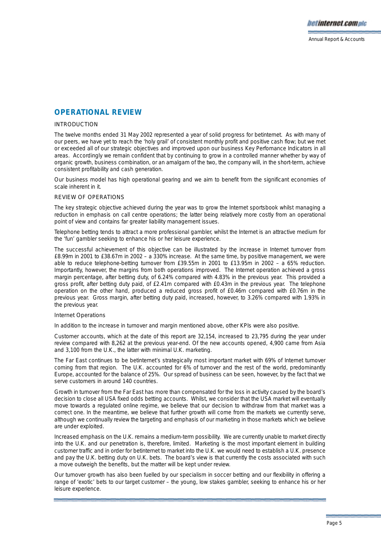# **OPERATIONAL REVIEW**

#### INTRODUCTION

The twelve months ended 31 May 2002 represented a year of solid progress for betinternet. As with many of our peers, we have yet to reach the 'holy grail' of consistent monthly profit and positive cash flow; but we met or exceeded all of our strategic objectives and improved upon our business Key Perfomance Indicators in all areas. Accordingly we remain confident that by continuing to grow in a controlled manner whether by way of organic growth, business combination, or an amalgam of the two, the company will, in the short-term, achieve consistent profitability and cash generation.

Our business model has high operational gearing and we aim to benefit from the significant economies of scale inherent in it.

#### REVIEW OF OPERATIONS

The key strategic objective achieved during the year was to grow the Internet sportsbook whilst managing a reduction in emphasis on call centre operations; the latter being relatively more costly from an operational point of view and contains far greater liability management issues.

Telephone betting tends to attract a more professional gambler, whilst the Internet is an attractive medium for the 'fun' gambler seeking to enhance his or her leisure experience.

The successful achievement of this objective can be illustrated by the increase in Internet turnover from £8.99m in 2001 to £38.67m in 2002 – a 330% increase. At the same time, by positive management, we were able to reduce telephone-betting turnover from £39.55m in 2001 to £13.95m in 2002 – a 65% reduction. Importantly, however, the margins from both operations improved. The Internet operation achieved a gross margin percentage, after betting duty, of 6.24% compared with 4.83% in the previous year. This provided a gross profit, after betting duty paid, of £2.41m compared with £0.43m in the previous year. The telephone operation on the other hand, produced a reduced gross profit of £0.46m compared with £0.76m in the previous year. Gross margin, after betting duty paid, increased, however, to 3.26% compared with 1.93% in the previous year.

#### Internet Operations

In addition to the increase in turnover and margin mentioned above, other KPIs were also positive.

Customer accounts, which at the date of this report are 32,154, increased to 23,795 during the year under review compared with 8,262 at the previous year-end. Of the new accounts opened, 4,900 came from Asia and 3,100 from the U.K., the latter with minimal U.K. marketing.

The Far East continues to be betinternet's strategically most important market with 69% of Internet turnover coming from that region. The U.K. accounted for 6% of turnover and the rest of the world, predominantly Europe, accounted for the balance of 25%. Our spread of business can be seen, however, by the fact that we serve customers in around 140 countries.

Growth in turnover from the Far East has more than compensated for the loss in activity caused by the board's decision to close all USA fixed odds betting accounts. Whilst, we consider that the USA market will eventually move towards a regulated online regime, we believe that our decision to withdraw from that market was a correct one. In the meantime, we believe that further growth will come from the markets we currently serve, although we continually review the targeting and emphasis of our marketing in those markets which we believe are under exploited.

Increased emphasis on the U.K. remains a medium-term possibility. We are currently unable to market directly into the U.K. and our penetration is, therefore, limited. Marketing is the most important element in building customer traffic and in order for betinternet to market into the U.K. we would need to establish a U.K. presence and pay the U.K. betting duty on U.K. bets. The board's view is that currently the costs associated with such a move outweigh the benefits, but the matter will be kept under review.

Our turnover growth has also been fuelled by our specialism in soccer betting and our flexibility in offering a range of 'exotic' bets to our target customer – the young, low stakes gambler, seeking to enhance his or her leisure experience.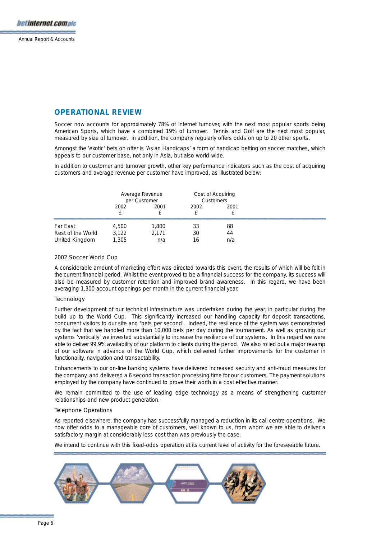# **OPERATIONAL REVIEW**

Soccer now accounts for approximately 78% of Internet turnover, with the next most popular sports being American Sports, which have a combined 19% of turnover. Tennis and Golf are the next most popular, measured by size of turnover. In addition, the company regularly offers odds on up to 20 other sports.

Amongst the 'exotic' bets on offer is 'Asian Handicaps' a form of handicap betting on soccer matches, which appeals to our customer base, not only in Asia, but also world-wide.

In addition to customer and turnover growth, other key performance indicators such as the cost of acquiring customers and average revenue per customer have improved, as illustrated below:

|                   | Average Revenue<br>per Customer |       | Cost of Acquiring<br><b>Customers</b> |      |
|-------------------|---------------------------------|-------|---------------------------------------|------|
|                   | 2002                            | 2001  | 2002                                  | 2001 |
| <b>Far East</b>   | 4.500                           | 1,800 | 33                                    | 88   |
| Rest of the World | 3,122                           | 2.171 | 30                                    | 44   |
| United Kingdom    | 1,305                           | n/a   | 16                                    | n/a  |

#### 2002 Soccer World Cup

A considerable amount of marketing effort was directed towards this event, the results of which will be felt in the current financial period. Whilst the event proved to be a financial success for the company, its success will also be measured by customer retention and improved brand awareness. In this regard, we have been averaging 1,300 account openings per month in the current financial year.

#### **Technology**

Further development of our technical infrastructure was undertaken during the year, in particular during the build up to the World Cup. This significantly increased our handling capacity for deposit transactions, concurrent visitors to our site and 'bets per second'. Indeed, the resilience of the system was demonstrated by the fact that we handled more than 10,000 bets per day during the tournament. As well as growing our systems 'vertically' we invested substantially to increase the resilience of our systems. In this regard we were able to deliver 99.9% availability of our platform to clients during the period. We also rolled out a major revamp of our software in advance of the World Cup, which delivered further improvements for the customer in functionality, navigation and transactability.

Enhancements to our on-line banking systems have delivered increased security and anti-fraud measures for the company, and delivered a 6 second transaction processing time for our customers. The payment solutions employed by the company have continued to prove their worth in a cost effective manner.

We remain committed to the use of leading edge technology as a means of strengthening customer relationships and new product generation.

#### Telephone Operations

As reported elsewhere, the company has successfully managed a reduction in its call centre operations. We now offer odds to a manageable core of customers, well known to us, from whom we are able to deliver a satisfactory margin at considerably less cost than was previously the case.

We intend to continue with this fixed-odds operation at its current level of activity for the foreseeable future.

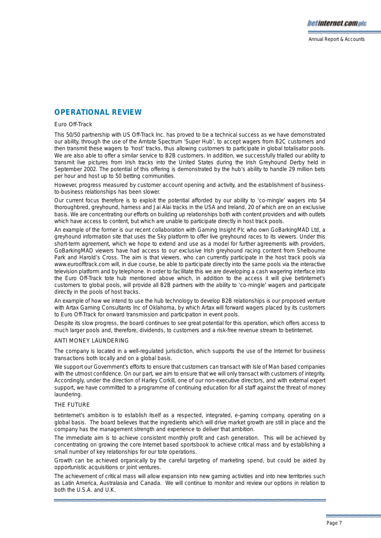# **OPERATIONAL REVIEW**

#### Euro Off-Track

This 50/50 partnership with US Off-Track Inc. has proved to be a technical success as we have demonstrated our ability, through the use of the Amtote Spectrum 'Super Hub', to accept wagers from B2C customers and then transmit these wagers to 'host' tracks, thus allowing customers to participate in global totalisator pools. We are also able to offer a similar service to B2B customers. In addition, we successfully trialled our ability to transmit live pictures from Irish tracks into the United States during the Irish Greyhound Derby held in September 2002. The potential of this offering is demonstrated by the hub's ability to handle 29 million bets per hour and host up to 50 betting communities.

However, progress measured by customer account opening and activity, and the establishment of businessto-business relationships has been slower.

Our current focus therefore is to exploit the potential afforded by our ability to 'co-mingle' wagers into 54 thoroughbred, greyhound, harness and Jai Alai tracks in the USA and Ireland, 20 of which are on an exclusive basis. We are concentrating our efforts on building up relationships both with content providers and with outlets which have access to content, but which are unable to participate directly in host track pools.

An example of the former is our recent collaboration with Gaming Insight Plc who own GoBarkingMAD Ltd, a greyhound information site that uses the Sky platform to offer live greyhound races to its viewers. Under this short-term agreement, which we hope to extend and use as a model for further agreements with providers, GoBarkingMAD viewers have had access to our exclusive Irish greyhound racing content from Shelbourne Park and Harold's Cross. The aim is that viewers, who can currently participate in the host track pools via www.euroofftrack.com will, in due course, be able to participate directly into the same pools via the interactive television platform and by telephone. In order to facilitate this we are developing a cash wagering interface into the Euro Off-Track tote hub mentioned above which, in addition to the access it will give betinternet's customers to global pools, will provide all B2B partners with the ability to 'co-mingle' wagers and participate directly in the pools of host tracks.

An example of how we intend to use the hub technology to develop B2B relationships is our proposed venture with Artax Gaming Consultants Inc of Oklahoma, by which Artax will forward wagers placed by its customers to Euro Off-Track for onward transmission and participation in event pools.

Despite its slow progress, the board continues to see great potential for this operation, which offers access to much larger pools and, therefore, dividends, to customers and a risk-free revenue stream to betinternet.

#### ANTI MONEY LAUNDERING

The company is located in a well-regulated jurisdiction, which supports the use of the Internet for business transactions both locally and on a global basis.

We support our Government's efforts to ensure that customers can transact with Isle of Man based companies with the utmost confidence. On our part, we aim to ensure that we will only transact with customers of integrity. Accordingly, under the direction of Harley Corkill, one of our non-executive directors, and with external expert support, we have committed to a programme of continuing education for all staff against the threat of money laundering.

#### THE FUTURE

betinternet's ambition is to establish itself as a respected, integrated, e-gaming company, operating on a global basis. The board believes that the ingredients which will drive market growth are still in place and the company has the management strength and experience to deliver that ambition.

The immediate aim is to achieve consistent monthly profit and cash generation. This will be achieved by concentrating on growing the core Internet based sportsbook to achieve critical mass and by establishing a small number of key relationships for our tote operations.

Growth can be achieved organically by the careful targeting of marketing spend, but could be aided by opportunistic acquisitions or joint ventures.

The achievement of critical mass will allow expansion into new gaming activities and into new territories such as Latin America, Australasia and Canada. We will continue to monitor and review our options in relation to both the U.S.A. and U.K.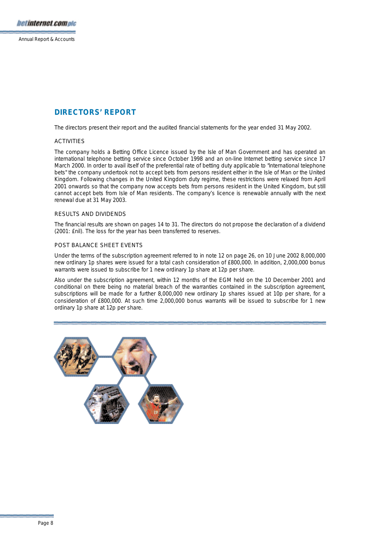# **DIRECTORS' REPORT**

The directors present their report and the audited financial statements for the year ended 31 May 2002.

#### ACTIVITIES

The company holds a Betting Office Licence issued by the Isle of Man Government and has operated an international telephone betting service since October 1998 and an on-line Internet betting service since 17 March 2000. In order to avail itself of the preferential rate of betting duty applicable to "international telephone bets" the company undertook not to accept bets from persons resident either in the Isle of Man or the United Kingdom. Following changes in the United Kingdom duty regime, these restrictions were relaxed from April 2001 onwards so that the company now accepts bets from persons resident in the United Kingdom, but still cannot accept bets from Isle of Man residents. The company's licence is renewable annually with the next renewal due at 31 May 2003.

#### RESULTS AND DIVIDENDS

The financial results are shown on pages 14 to 31. The directors do not propose the declaration of a dividend (2001: £nil). The loss for the year has been transferred to reserves.

#### POST BALANCE SHEET EVENTS

Under the terms of the subscription agreement referred to in note 12 on page 26, on 10 June 2002 8,000,000 new ordinary 1p shares were issued for a total cash consideration of £800,000. In addition, 2,000,000 bonus warrants were issued to subscribe for 1 new ordinary 1p share at 12p per share.

Also under the subscription agreement, within 12 months of the EGM held on the 10 December 2001 and conditional on there being no material breach of the warranties contained in the subscription agreement, subscriptions will be made for a further 8,000,000 new ordinary 1p shares issued at 10p per share, for a consideration of £800,000. At such time 2,000,000 bonus warrants will be issued to subscribe for 1 new ordinary 1p share at 12p per share.

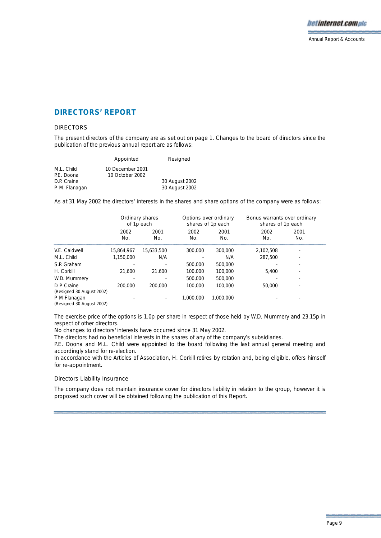

# **DIRECTORS' REPORT**

#### DIRECTORS

The present directors of the company are as set out on page 1. Changes to the board of directors since the publication of the previous annual report are as follows:

|                | Appointed        | Resigned       |
|----------------|------------------|----------------|
| M.L. Child     | 10 December 2001 |                |
| P.F. Doona     | 10 October 2002  |                |
| D.P. Craine    |                  | 30 August 2002 |
| P. M. Flanagan |                  | 30 August 2002 |

As at 31 May 2002 the directors' interests in the shares and share options of the company were as follows:

|                                           | Ordinary shares<br>of 1p each |             |             | Options over ordinary<br>shares of 1p each | Bonus warrants over ordinary<br>shares of 1p each |             |
|-------------------------------------------|-------------------------------|-------------|-------------|--------------------------------------------|---------------------------------------------------|-------------|
|                                           | 2002<br>No.                   | 2001<br>No. | 2002<br>No. | 2001<br>No.                                | 2002<br>No.                                       | 2001<br>No. |
| V.F. Caldwell                             | 15,864,967                    | 15.633.500  | 300,000     | 300,000                                    | 2,102,508                                         |             |
| M.L. Child                                | 1.150.000                     | N/A         |             | N/A                                        | 287.500                                           |             |
| S.P. Graham                               |                               |             | 500,000     | 500,000                                    |                                                   |             |
| H. Corkill                                | 21.600                        | 21.600      | 100,000     | 100.000                                    | 5.400                                             |             |
| W.D. Mummery                              |                               |             | 500,000     | 500.000                                    |                                                   |             |
| D P Craine<br>(Resigned 30 August 2002)   | 200,000                       | 200.000     | 100.000     | 100,000                                    | 50,000                                            |             |
| P M Flanagan<br>(Resigned 30 August 2002) |                               |             | 1.000.000   | 1.000.000                                  |                                                   |             |

The exercise price of the options is 1.0p per share in respect of those held by W.D. Mummery and 23.15p in respect of other directors.

No changes to directors' interests have occurred since 31 May 2002.

The directors had no beneficial interests in the shares of any of the company's subsidiaries.

P.E. Doona and M.L. Child were appointed to the board following the last annual general meeting and accordingly stand for re-election.

In accordance with the Articles of Association, H. Corkill retires by rotation and, being eligible, offers himself for re-appointment.

#### Directors Liability Insurance

The company does not maintain insurance cover for directors liability in relation to the group, however it is proposed such cover will be obtained following the publication of this Report.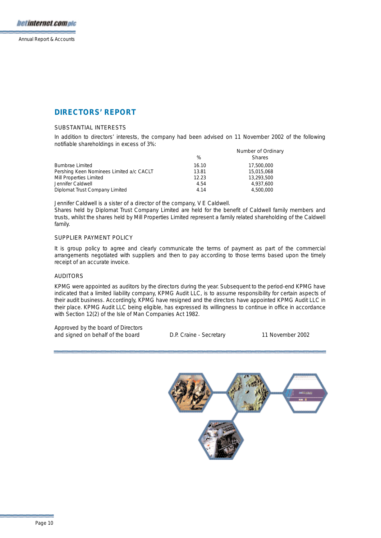

# **DIRECTORS' REPORT**

#### SUBSTANTIAL INTERESTS

In addition to directors' interests, the company had been advised on 11 November 2002 of the following notifiable shareholdings in excess of 3%:

|       | Number of Ordinary |
|-------|--------------------|
| %     | <b>Shares</b>      |
| 16.10 | 17,500,000         |
| 13.81 | 15.015.068         |
| 12.23 | 13.293.500         |
| 4.54  | 4.937.600          |
| 4.14  | 4.500.000          |
|       |                    |

Jennifer Caldwell is a sister of a director of the company, V E Caldwell. Shares held by Diplomat Trust Company Limited are held for the benefit of Caldwell family members and trusts, whilst the shares held by Mill Properties Limited represent a family related shareholding of the Caldwell family.

#### SUPPLIER PAYMENT POLICY

It is group policy to agree and clearly communicate the terms of payment as part of the commercial arrangements negotiated with suppliers and then to pay according to those terms based upon the timely receipt of an accurate invoice.

#### AUDITORS

KPMG were appointed as auditors by the directors during the year. Subsequent to the period-end KPMG have indicated that a limited liability company, KPMG Audit LLC, is to assume responsibility for certain aspects of their audit business. Accordingly, KPMG have resigned and the directors have appointed KPMG Audit LLC in their place. KPMG Audit LLC being eligible, has expressed its willingness to continue in office in accordance with Section 12(2) of the Isle of Man Companies Act 1982.

Approved by the board of Directors and signed on behalf of the board D.P. Craine - Secretary 11 November 2002

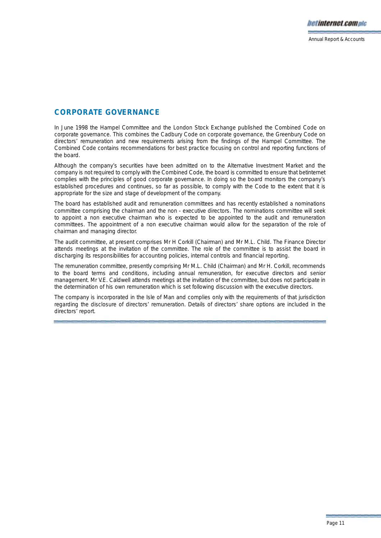# **CORPORATE GOVERNANCE**

In June 1998 the Hampel Committee and the London Stock Exchange published the Combined Code on corporate governance. This combines the Cadbury Code on corporate governance, the Greenbury Code on directors' remuneration and new requirements arising from the findings of the Hampel Committee. The Combined Code contains recommendations for best practice focusing on control and reporting functions of the board.

Although the company's securities have been admitted on to the Alternative Investment Market and the company is not required to comply with the Combined Code, the board is committed to ensure that betinternet complies with the principles of good corporate governance. In doing so the board monitors the company's established procedures and continues, so far as possible, to comply with the Code to the extent that it is appropriate for the size and stage of development of the company.

The board has established audit and remuneration committees and has recently established a nominations committee comprising the chairman and the non - executive directors. The nominations committee will seek to appoint a non executive chairman who is expected to be appointed to the audit and remuneration committees. The appointment of a non executive chairman would allow for the separation of the role of chairman and managing director.

The audit committee, at present comprises Mr H Corkill (Chairman) and Mr M.L. Child. The Finance Director attends meetings at the invitation of the committee. The role of the committee is to assist the board in discharging its responsibilities for accounting policies, internal controls and financial reporting.

The remuneration committee, presently comprising Mr M.L. Child (Chairman) and Mr H. Corkill, recommends to the board terms and conditions, including annual remuneration, for executive directors and senior management. Mr V.E. Caldwell attends meetings at the invitation of the committee, but does not participate in the determination of his own remuneration which is set following discussion with the executive directors.

The company is incorporated in the Isle of Man and complies only with the requirements of that jurisdiction regarding the disclosure of directors' remuneration. Details of directors' share options are included in the directors' report.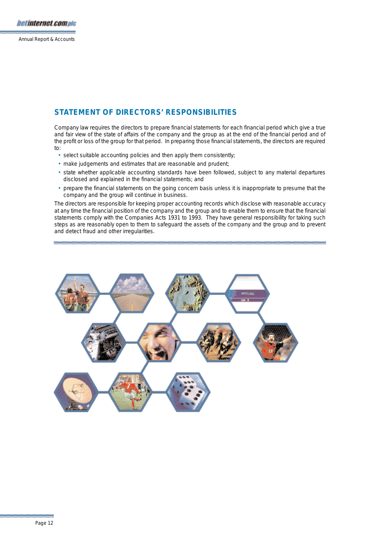

# **STATEMENT OF DIRECTORS' RESPONSIBILITIES**

Company law requires the directors to prepare financial statements for each financial period which give a true and fair view of the state of affairs of the company and the group as at the end of the financial period and of the profit or loss of the group for that period. In preparing those financial statements, the directors are required to:

- select suitable accounting policies and then apply them consistently;
- make judgements and estimates that are reasonable and prudent;
- state whether applicable accounting standards have been followed, subject to any material departures disclosed and explained in the financial statements; and
- prepare the financial statements on the going concern basis unless it is inappropriate to presume that the company and the group will continue in business.

The directors are responsible for keeping proper accounting records which disclose with reasonable accuracy at any time the financial position of the company and the group and to enable them to ensure that the financial statements comply with the Companies Acts 1931 to 1993. They have general responsibility for taking such steps as are reasonably open to them to safeguard the assets of the company and the group and to prevent and detect fraud and other irregularities.

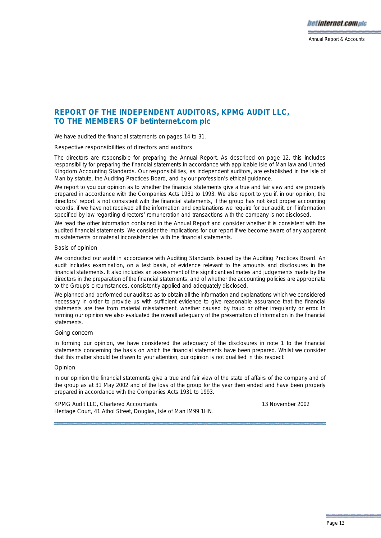# **REPORT OF THE INDEPENDENT AUDITORS, KPMG AUDIT LLC, TO THE MEMBERS OF betinternet.com plc**

We have audited the financial statements on pages 14 to 31.

#### Respective responsibilities of directors and auditors

The directors are responsible for preparing the Annual Report. As described on page 12, this includes responsibility for preparing the financial statements in accordance with applicable Isle of Man law and United Kingdom Accounting Standards. Our responsibilities, as independent auditors, are established in the Isle of Man by statute, the Auditing Practices Board, and by our profession's ethical guidance.

We report to you our opinion as to whether the financial statements give a true and fair view and are properly prepared in accordance with the Companies Acts 1931 to 1993. We also report to you if, in our opinion, the directors' report is not consistent with the financial statements, if the group has not kept proper accounting records, if we have not received all the information and explanations we require for our audit, or if information specified by law regarding directors' remuneration and transactions with the company is not disclosed.

We read the other information contained in the Annual Report and consider whether it is consistent with the audited financial statements. We consider the implications for our report if we become aware of any apparent misstatements or material inconsistencies with the financial statements.

#### Basis of opinion

We conducted our audit in accordance with Auditing Standards issued by the Auditing Practices Board. An audit includes examination, on a test basis, of evidence relevant to the amounts and disclosures in the financial statements. It also includes an assessment of the significant estimates and judgements made by the directors in the preparation of the financial statements, and of whether the accounting policies are appropriate to the Group's circumstances, consistently applied and adequately disclosed.

We planned and performed our audit so as to obtain all the information and explanations which we considered necessary in order to provide us with sufficient evidence to give reasonable assurance that the financial statements are free from material misstatement, whether caused by fraud or other irregularity or error. In forming our opinion we also evaluated the overall adequacy of the presentation of information in the financial statements.

#### *Going concern*

In forming our opinion, we have considered the adequacy of the disclosures in note 1 to the financial statements concerning the basis on which the financial statements have been prepared. Whilst we consider that this matter should be drawn to your attention, our opinion is not qualified in this respect.

#### Opinion

In our opinion the financial statements give a true and fair view of the state of affairs of the company and of the group as at 31 May 2002 and of the loss of the group for the year then ended and have been properly prepared in accordance with the Companies Acts 1931 to 1993.

KPMG Audit LLC, Chartered Accountants 13 November 2002 Heritage Court, 41 Athol Street, Douglas, Isle of Man IM99 1HN.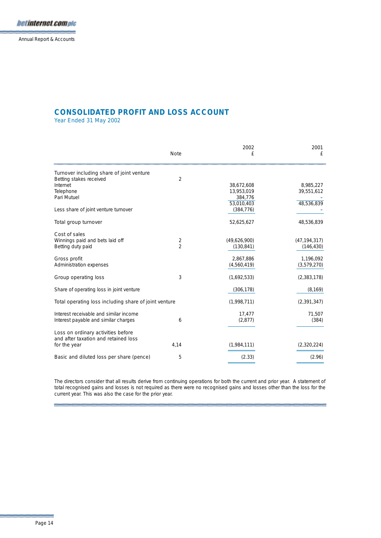

# **CONSOLIDATED PROFIT AND LOSS ACCOUNT**

Year Ended 31 May 2002

|                                                                                                                                                      | <b>Note</b>         | 2002<br>£                                                       | 2001<br>£                             |
|------------------------------------------------------------------------------------------------------------------------------------------------------|---------------------|-----------------------------------------------------------------|---------------------------------------|
| Turnover including share of joint venture<br>Betting stakes received<br>Internet<br>Telephone<br>Pari Mutuel<br>Less share of joint venture turnover | $\overline{2}$      | 38,672,608<br>13,953,019<br>384,776<br>53,010,403<br>(384, 776) | 8,985,227<br>39,551,612<br>48,536,839 |
| Total group turnover                                                                                                                                 |                     | 52,625,627                                                      | 48,536,839                            |
| Cost of sales<br>Winnings paid and bets laid off<br>Betting duty paid                                                                                | 2<br>$\mathfrak{D}$ | (49,626,900)<br>(130, 841)                                      | (47, 194, 317)<br>(146, 430)          |
| Gross profit<br>Administration expenses                                                                                                              |                     | 2,867,886<br>(4,560,419)                                        | 1,196,092<br>(3,579,270)              |
| Group operating loss                                                                                                                                 | 3                   | (1,692,533)                                                     | (2,383,178)                           |
| Share of operating loss in joint venture                                                                                                             |                     | (306, 178)                                                      | (8, 169)                              |
| Total operating loss including share of joint venture                                                                                                |                     | (1,998,711)                                                     | (2, 391, 347)                         |
| Interest receivable and similar income<br>Interest payable and similar charges                                                                       | 6                   | 17,477<br>(2, 877)                                              | 71,507<br>(384)                       |
| Loss on ordinary activities before<br>and after taxation and retained loss<br>for the year                                                           | 4,14                | (1,984,111)                                                     | (2,320,224)                           |
| Basic and diluted loss per share (pence)                                                                                                             | 5                   | (2.33)                                                          | (2.96)                                |

The directors consider that all results derive from continuing operations for both the current and prior year. A statement of total recognised gains and losses is not required as there were no recognised gains and losses other than the loss for the current year. This was also the case for the prior year.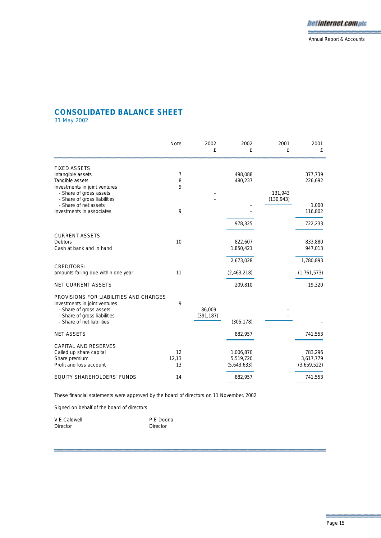

# **CONSOLIDATED BALANCE SHEET**

31 May 2002

|                                        | <b>Note</b> | 2002<br>£  | 2002<br>£   | 2001<br>£  | 2001<br>£     |
|----------------------------------------|-------------|------------|-------------|------------|---------------|
| <b>FIXED ASSETS</b>                    |             |            |             |            |               |
| Intangible assets                      | 7           |            | 498,088     |            | 377,739       |
| Tangible assets                        | 8           |            | 480,237     |            | 226,692       |
| Investments in joint ventures          | 9           |            |             |            |               |
| - Share of gross assets                |             |            |             | 131,943    |               |
| - Share of gross liabilities           |             |            |             | (130, 943) |               |
| - Share of net assets                  |             |            |             |            | 1,000         |
| Investments in associates              | 9           |            |             |            | 116,802       |
|                                        |             |            | 978,325     |            | 722,233       |
|                                        |             |            |             |            |               |
| <b>CURRENT ASSETS</b>                  |             |            |             |            |               |
| <b>Debtors</b>                         | 10          |            | 822,607     |            | 833,880       |
| Cash at bank and in hand               |             |            | 1,850,421   |            | 947,013       |
|                                        |             |            |             |            |               |
|                                        |             |            | 2,673,028   |            | 1,780,893     |
| <b>CREDITORS:</b>                      |             |            |             |            |               |
| amounts falling due within one year    | 11          |            | (2,463,218) |            | (1, 761, 573) |
| <b>NET CURRENT ASSETS</b>              |             |            | 209,810     |            | 19,320        |
| PROVISIONS FOR LIABILITIES AND CHARGES |             |            |             |            |               |
| Investments in joint ventures          | 9           |            |             |            |               |
| - Share of gross assets                |             | 86,009     |             |            |               |
| - Share of gross liabilities           |             | (391, 187) |             |            |               |
| - Share of net liabilities             |             |            | (305, 178)  |            |               |
| <b>NET ASSETS</b>                      |             |            | 882,957     |            |               |
|                                        |             |            |             |            | 741,553       |
| <b>CAPITAL AND RESERVES</b>            |             |            |             |            |               |
| Called up share capital                | 12          |            | 1,006,870   |            | 783,296       |
| Share premium                          | 12,13       |            | 5,519,720   |            | 3,617,779     |
| Profit and loss account                | 13          |            | (5,643,633) |            | (3,659,522)   |
| <b>EQUITY SHAREHOLDERS' FUNDS</b>      | 14          |            | 882,957     |            | 741,553       |
|                                        |             |            |             |            |               |

These financial statements were approved by the board of directors on 11 November, 2002

Signed on behalf of the board of directors

| V F Caldwell    | P F Doona |
|-----------------|-----------|
| <b>Director</b> | Director  |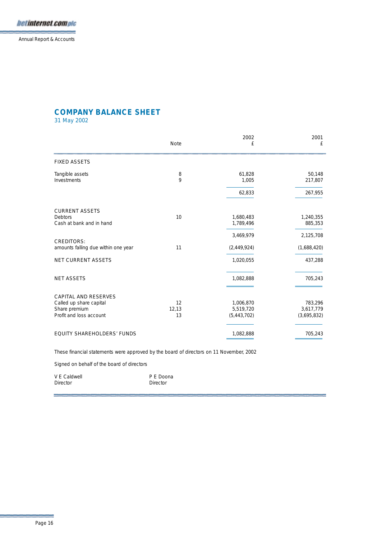

# **COMPANY BALANCE SHEET**

31 May 2002

|                                                                                                    | <b>Note</b>       | 2002<br>£                             | 2001<br>£                           |
|----------------------------------------------------------------------------------------------------|-------------------|---------------------------------------|-------------------------------------|
| <b>FIXED ASSETS</b>                                                                                |                   |                                       |                                     |
| Tangible assets<br>Investments                                                                     | 8<br>9            | 61,828<br>1,005                       | 50,148<br>217,807                   |
|                                                                                                    |                   | 62,833                                | 267,955                             |
| <b>CURRENT ASSETS</b><br><b>Debtors</b><br>Cash at bank and in hand                                | 10                | 1,680,483<br>1,789,496                | 1,240,355<br>885,353                |
| <b>CREDITORS:</b><br>amounts falling due within one year                                           | 11                | 3,469,979<br>(2,449,924)              | 2,125,708<br>(1,688,420)            |
| <b>NET CURRENT ASSETS</b>                                                                          |                   | 1,020,055                             | 437,288                             |
| <b>NET ASSETS</b>                                                                                  |                   | 1,082,888                             | 705,243                             |
| <b>CAPITAL AND RESERVES</b><br>Called up share capital<br>Share premium<br>Profit and loss account | 12<br>12,13<br>13 | 1,006,870<br>5,519,720<br>(5,443,702) | 783,296<br>3,617,779<br>(3,695,832) |
| <b>EQUITY SHAREHOLDERS' FUNDS</b>                                                                  |                   | 1,082,888                             | 705,243                             |

These financial statements were approved by the board of directors on 11 November, 2002

Signed on behalf of the board of directors

| V F Caldwell    | P F Doona |
|-----------------|-----------|
| <b>Director</b> | Director  |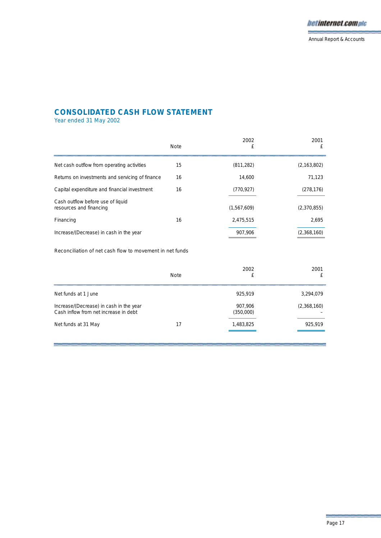# **CONSOLIDATED CASH FLOW STATEMENT**

Year ended 31 May 2002

|                                                              | <b>Note</b> | 2002<br>£   | 2001<br>£     |
|--------------------------------------------------------------|-------------|-------------|---------------|
| Net cash outflow from operating activities                   | 15          | (811, 282)  | (2, 163, 802) |
| Returns on investments and servicing of finance              | 16          | 14.600      | 71,123        |
| Capital expenditure and financial investment                 | 16          | (770, 927)  | (278, 176)    |
| Cash outflow before use of liquid<br>resources and financing |             | (1,567,609) | (2,370,855)   |
| Financing                                                    | 16          | 2.475.515   | 2.695         |
| Increase/(Decrease) in cash in the year                      |             | 907,906     | (2,368,160)   |

#### Reconciliation of net cash flow to movement in net funds

|                                                                                  | Note | 2002                 | 2001        |
|----------------------------------------------------------------------------------|------|----------------------|-------------|
| Net funds at 1 June                                                              |      | 925.919              | 3.294.079   |
| Increase/(Decrease) in cash in the year<br>Cash inflow from net increase in debt |      | 907.906<br>(350,000) | (2,368,160) |
| Net funds at 31 May                                                              | 17   | 1,483,825            | 925,919     |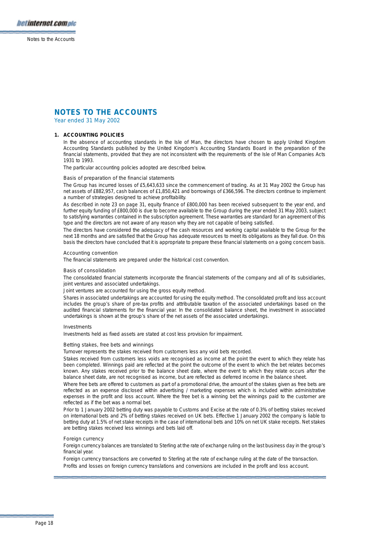

Notes to the Accounts

# **NOTES TO THE ACCOUNTS**

Year ended 31 May 2002

#### **1. ACCOUNTING POLICIES**

In the absence of accounting standards in the Isle of Man, the directors have chosen to apply United Kingdom Accounting Standards published by the United Kingdom's Accounting Standards Board in the preparation of the financial statements, provided that they are not inconsistent with the requirements of the Isle of Man Companies Acts 1931 to 1993.

The particular accounting policies adopted are described below.

#### Basis of preparation of the financial statements

The Group has incurred losses of £5,643,633 since the commencement of trading. As at 31 May 2002 the Group has net assets of £882,957, cash balances of £1,850,421 and borrowings of £366,596. The directors continue to implement a number of strategies designed to achieve profitability.

As described in note 23 on page 31, equity finance of £800,000 has been received subsequent to the year end, and further equity funding of £800,000 is due to become available to the Group during the year ended 31 May 2003, subject to satisfying warranties contained in the subscription agreement. These warranties are standard for an agreement of this type and the directors are not aware of any reason why they are not capable of being satisfied.

The directors have considered the adequacy of the cash resources and working capital available to the Group for the next 18 months and are satisfied that the Group has adequate resources to meet its obligations as they fall due. On this basis the directors have concluded that it is appropriate to prepare these financial statements on a going concern basis.

#### Accounting convention

The financial statements are prepared under the historical cost convention.

#### Basis of consolidation

The consolidated financial statements incorporate the financial statements of the company and all of its subsidiaries, joint ventures and associated undertakings.

Joint ventures are accounted for using the gross equity method.

Shares in associated undertakings are accounted for using the equity method. The consolidated profit and loss account includes the group's share of pre-tax profits and attributable taxation of the associated undertakings based on the audited financial statements for the financial year. In the consolidated balance sheet, the investment in associated undertakings is shown at the group's share of the net assets of the associated undertakings.

#### Investments

Investments held as fixed assets are stated at cost less provision for impairment.

#### Betting stakes, free bets and winnings

Turnover represents the stakes received from customers less any void bets recorded.

Stakes received from customers less voids are recognised as income at the point the event to which they relate has been completed. Winnings paid are reflected at the point the outcome of the event to which the bet relates becomes known. Any stakes received prior to the balance sheet date, where the event to which they relate occurs after the balance sheet date, are not recognised as income, but are reflected as deferred income in the balance sheet.

Where free bets are offered to customers as part of a promotional drive, the amount of the stakes given as free bets are reflected as an expense disclosed within advertising / marketing expenses which is included within administrative expenses in the profit and loss account. Where the free bet is a winning bet the winnings paid to the customer are reflected as if the bet was a normal bet.

Prior to 1 January 2002 betting duty was payable to Customs and Excise at the rate of 0.3% of betting stakes received on international bets and 2% of betting stakes received on UK bets. Effective 1 January 2002 the company is liable to betting duty at 1.5% of net stake receipts in the case of international bets and 10% on net UK stake receipts. Net stakes are betting stakes received less winnings and bets laid off.

#### Foreign currency

Foreign currency balances are translated to Sterling at the rate of exchange ruling on the last business day in the group's financial year.

Foreign currency transactions are converted to Sterling at the rate of exchange ruling at the date of the transaction. Profits and losses on foreign currency translations and conversions are included in the profit and loss account.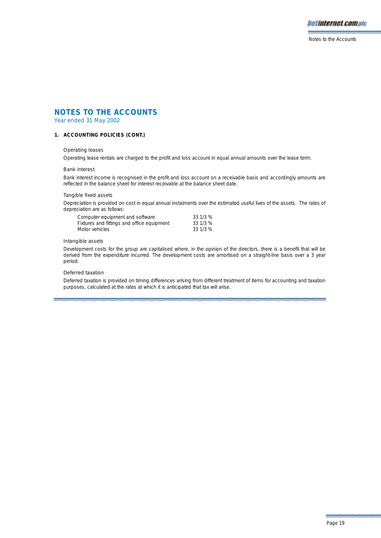Year ended 31 May 2002

#### **1. ACCOUNTING POLICIES (CONT.)**

#### Operating leases

Operating lease rentals are charged to the profit and loss account in equal annual amounts over the lease term.

#### Bank interest

Bank interest income is recognised in the profit and loss account on a receivable basis and accordingly amounts are reflected in the balance sheet for interest receivable at the balance sheet date.

#### Tangible fixed assets

Depreciation is provided on cost in equal annual instalments over the estimated useful lives of the assets. The rates of depreciation are as follows:

| Computer equipment and software            | 33 1/3 % |
|--------------------------------------------|----------|
| Fixtures and fittings and office equipment | 33 1/3 % |
| Motor vehicles                             | 33 1/3 % |

#### Intangible assets

Development costs for the group are capitalised where, in the opinion of the directors, there is a benefit that will be derived from the expenditure incurred. The development costs are amortised on a straight-line basis over a 3 year period.

#### Deferred taxation

Deferred taxation is provided on timing differences arising from different treatment of items for accounting and taxation purposes, calculated at the rates at which it is anticipated that tax will arise.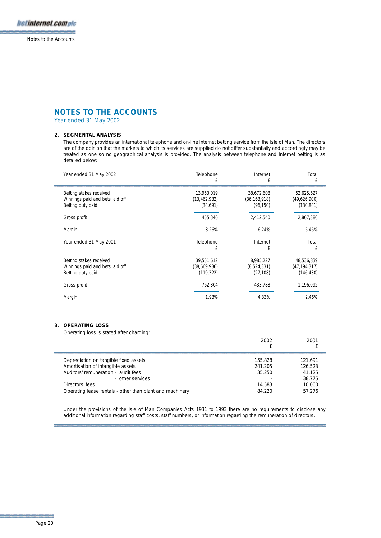

Notes to the Accounts

 $\rightarrow$ 

# **NOTES TO THE ACCOUNTS**

Year ended 31 May 2002

#### **2. SEGMENTAL ANALYSIS**

The company provides an international telephone and on-line Internet betting service from the Isle of Man. The directors are of the opinion that the markets to which its services are supplied do not differ substantially and accordingly may be treated as one so no geographical analysis is provided. The analysis between telephone and Internet betting is as detailed below:

| Year ended 31 May 2002          | Telephone      | Internet       | Total          |
|---------------------------------|----------------|----------------|----------------|
|                                 | f              | £              | £              |
| Betting stakes received         | 13,953,019     | 38,672,608     | 52,625,627     |
| Winnings paid and bets laid off | (13, 462, 982) | (36, 163, 918) | (49,626,900)   |
| Betting duty paid               | (34,691)       | (96,150)       | (130, 841)     |
| Gross profit                    | 455,346        | 2,412,540      | 2,867,886      |
| Margin                          | 3.26%          | 6.24%          | 5.45%          |
| Year ended 31 May 2001          | Telephone      | Internet       | Total          |
|                                 | £              | £              | £              |
| Betting stakes received         | 39,551,612     | 8,985,227      | 48,536,839     |
| Winnings paid and bets laid off | (38,669,986)   | (8,524,331)    | (47, 194, 317) |
| Betting duty paid               | (119, 322)     | (27, 108)      | (146, 430)     |
| Gross profit                    | 762,304        | 433,788        | 1,196,092      |
| Margin                          | 1.93%          | 4.83%          | 2.46%          |

#### **3. OPERATING LOSS**

Operating loss is stated after charging:

|                                                          | 2002    | 2001    |
|----------------------------------------------------------|---------|---------|
| Depreciation on tangible fixed assets                    | 155,828 | 121.691 |
| Amortisation of intangible assets                        | 241.205 | 126.528 |
| Auditors' remuneration - audit fees                      | 35,250  | 41.125  |
| - other services                                         |         | 38.775  |
| Directors' fees                                          | 14.583  | 10,000  |
| Operating lease rentals - other than plant and machinery | 84.220  | 57.276  |

Under the provisions of the Isle of Man Companies Acts 1931 to 1993 there are no requirements to disclose any additional information regarding staff costs, staff numbers, or information regarding the remuneration of directors.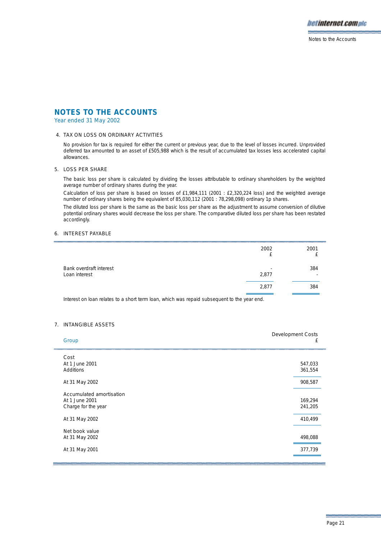Year ended 31 May 2002

#### 4. TAX ON LOSS ON ORDINARY ACTIVITIES

No provision for tax is required for either the current or previous year, due to the level of losses incurred. Unprovided deferred tax amounted to an asset of £505,988 which is the result of accumulated tax losses less accelerated capital allowances.

#### 5. LOSS PER SHARE

The basic loss per share is calculated by dividing the losses attributable to ordinary shareholders by the weighted average number of ordinary shares during the year.

Calculation of loss per share is based on losses of £1,984,111 (2001 : £2,320,224 loss) and the weighted average number of ordinary shares being the equivalent of 85,030,112 (2001 : 78,298,098) ordinary 1p shares.

The diluted loss per share is the same as the basic loss per share as the adjustment to assume conversion of dilutive potential ordinary shares would decrease the loss per share. The comparative diluted loss per share has been restated accordingly.

#### 6. INTEREST PAYABLE

|                                          | 2002  | 2001 |
|------------------------------------------|-------|------|
| Bank overdraft interest<br>Loan interest | 2,877 | 384  |
|                                          | 2,877 | 384  |

Interest on loan relates to a short term loan, which was repaid subsequent to the year end.

#### 7. INTANGIBLE ASSETS

| Group                                                             | <b>Development Costs</b><br>£ |
|-------------------------------------------------------------------|-------------------------------|
| Cost<br>At 1 June 2001<br>Additions                               | 547,033<br>361,554            |
| At 31 May 2002                                                    | 908,587                       |
| Accumulated amortisation<br>At 1 June 2001<br>Charge for the year | 169,294<br>241,205            |
| At 31 May 2002                                                    | 410,499                       |
| Net book value<br>At 31 May 2002                                  | 498,088                       |
| At 31 May 2001                                                    | 377,739                       |
|                                                                   |                               |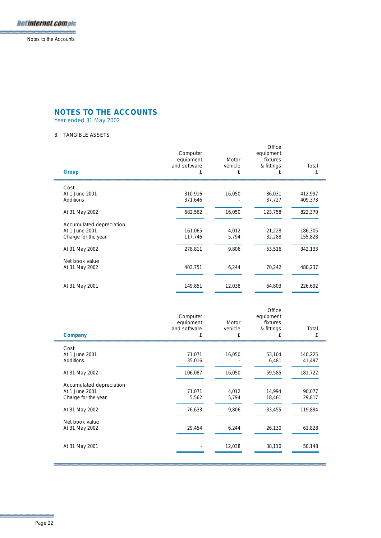

Notes to the Accounts

# **NOTES TO THE ACCOUNTS**

Year ended 31 May 2002

#### 8. TANGIBLE ASSETS

| <b>Group</b>             | Computer<br>equipment<br>and software<br>£ | Motor<br>vehicle<br>£ | Office<br>equipment<br>fixtures<br>& fittings<br>£ | Total<br>£ |
|--------------------------|--------------------------------------------|-----------------------|----------------------------------------------------|------------|
| Cost                     |                                            |                       |                                                    |            |
| At 1 June 2001           | 310,916                                    | 16,050                | 86,031                                             | 412,997    |
| Additions                | 371,646                                    |                       | 37,727                                             | 409,373    |
| At 31 May 2002           | 682,562                                    | 16,050                | 123,758                                            | 822,370    |
| Accumulated depreciation |                                            |                       |                                                    |            |
| At 1 June 2001           | 161,065                                    | 4,012                 | 21,228                                             | 186,305    |
| Charge for the year      | 117,746                                    | 5,794                 | 32,288                                             | 155,828    |
| At 31 May 2002           | 278,811                                    | 9,806                 | 53,516                                             | 342,133    |
| Net book value           |                                            |                       |                                                    |            |
| At 31 May 2002           | 403,751                                    | 6,244                 | 70,242                                             | 480,237    |
| At 31 May 2001           | 149,851                                    | 12,038                | 64,803                                             | 226,692    |
|                          | Computer<br>equipment<br>and software      | Motor<br>vehicle      | Office<br>equipment<br>fixtures<br>& fittings      | Total      |

| Company                  | and software<br>£ | vehicle<br>£ | & fittings<br>£ | Total<br>£ |
|--------------------------|-------------------|--------------|-----------------|------------|
| Cost                     |                   |              |                 |            |
| At 1 June 2001           | 71,071            | 16,050       | 53,104          | 140,225    |
| Additions                | 35,016            |              | 6,481           | 41,497     |
| At 31 May 2002           | 106,087           | 16,050       | 59,585          | 181,722    |
| Accumulated depreciation |                   |              |                 |            |
| At 1 June 2001           | 71,071            | 4,012        | 14,994          | 90,077     |
| Charge for the year      | 5,562             | 5,794        | 18,461          | 29,817     |
| At 31 May 2002           | 76,633            | 9,806        | 33,455          | 119,894    |
| Net book value           |                   |              |                 |            |
| At 31 May 2002           | 29,454            | 6,244        | 26,130          | 61,828     |
|                          |                   |              |                 |            |
| At 31 May 2001           |                   | 12,038       | 38,110          | 50,148     |
|                          |                   |              |                 |            |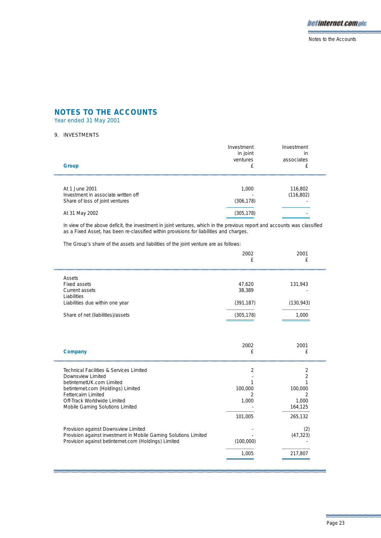Year ended 31 May 2001

#### 9. INVESTMENTS

**College** 

à.

| Group                                                                                     | Investment<br>in joint<br>ventures | Investment<br>ın<br>associates |
|-------------------------------------------------------------------------------------------|------------------------------------|--------------------------------|
| At 1. June 2001<br>Investment in associate written off<br>Share of loss of joint ventures | 1.000<br>(306, 178)                | 116,802<br>(116, 802)          |
| At 31 May 2002                                                                            | (305, 178)                         |                                |

In view of the above deficit, the investment in joint ventures, which in the previous report and accounts was classified as a Fixed Asset, has been re-classified within provisions for liabilities and charges.

The Group's share of the assets and liabilities of the joint venture are as follows:

|                                                         | 2002             | 2001       |
|---------------------------------------------------------|------------------|------------|
| Assets<br>Fixed assets<br>Current assets<br>Liabilities | 47,620<br>38,389 | 131,943    |
| Liabilities due within one year                         | (391, 187)       | (130, 943) |
| Share of net (liabilities)/assets                       | (305, 178)       | 1,000      |

| Company                                                                                                                                                                                                                   | 2002<br>£                        | 2001<br>£                              |
|---------------------------------------------------------------------------------------------------------------------------------------------------------------------------------------------------------------------------|----------------------------------|----------------------------------------|
| Technical Facilities & Services Limited<br>Downsview Limited<br>betinternetUK.com Limited<br>betinternet.com (Holdings) Limited<br>Fettercairn I imited<br>Off-Track Worldwide Limited<br>Mobile Gaming Solutions Limited | 2<br>100.000<br>1,000<br>101.005 | 100,000<br>1.000<br>164,125<br>265.132 |
| Provision against Downsview Limited<br>Provision against investment in Mobile Gaming Solutions Limited<br>Provision against betinternet.com (Holdings) Limited                                                            | (100,000)<br>1.005               | (2)<br>(47, 323)<br>217.807            |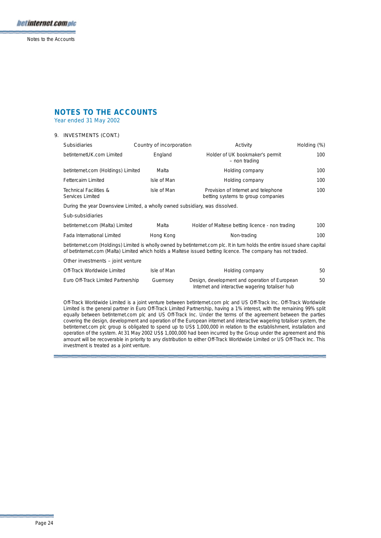

Year ended 31 May 2002

#### 9. INVESTMENTS (CONT.)

| <b>Subsidiaries</b>                                                                                                                                                                                                                         | Country of incorporation | Activity                                                                                         | Holding (%) |  |  |
|---------------------------------------------------------------------------------------------------------------------------------------------------------------------------------------------------------------------------------------------|--------------------------|--------------------------------------------------------------------------------------------------|-------------|--|--|
| betinternetUK.com Limited                                                                                                                                                                                                                   | England                  | Holder of UK bookmaker's permit<br>- non trading                                                 | 100         |  |  |
| betinternet.com (Holdings) Limited                                                                                                                                                                                                          | Malta                    | Holding company                                                                                  | 100         |  |  |
| <b>Fettercairn Limited</b>                                                                                                                                                                                                                  | Isle of Man              | Holding company                                                                                  | 100         |  |  |
| <b>Technical Facilities &amp;</b><br>Services Limited                                                                                                                                                                                       | Isle of Man              | Provision of Internet and telephone<br>betting systems to group companies                        | 100         |  |  |
| During the year Downsview Limited, a wholly owned subsidiary, was dissolved.                                                                                                                                                                |                          |                                                                                                  |             |  |  |
| Sub-subsidiaries                                                                                                                                                                                                                            |                          |                                                                                                  |             |  |  |
| betinternet.com (Malta) Limited                                                                                                                                                                                                             | Malta                    | Holder of Maltese betting licence - non trading                                                  | 100         |  |  |
| Fada International Limited                                                                                                                                                                                                                  | Hong Kong                | Non-trading                                                                                      | 100         |  |  |
| betinternet.com (Holdings) Limited is wholly owned by betinternet.com plc. It in turn holds the entire issued share capital<br>of betinternet.com (Malta) Limited which holds a Maltese issued betting licence. The company has not traded. |                          |                                                                                                  |             |  |  |
| Other investments - joint venture                                                                                                                                                                                                           |                          |                                                                                                  |             |  |  |
| Off-Track Worldwide Limited                                                                                                                                                                                                                 | Isle of Man              | Holding company                                                                                  | 50          |  |  |
| Euro Off-Track Limited Partnership                                                                                                                                                                                                          | Guernsey                 | Design, development and operation of European<br>Internet and interactive wagering totaliser hub | 50          |  |  |

Off-Track Worldwide Limited is a joint venture between betinternet.com plc and US Off-Track Inc. Off-Track Worldwide Limited is the general partner in Euro Off-Track Limited Partnership, having a 1% interest, with the remaining 99% split equally between betinternet.com plc and US Off-Track Inc. Under the terms of the agreement between the parties covering the design, development and operation of the European internet and interactive wagering totaliser system, the betinternet.com plc group is obligated to spend up to US\$ 1,000,000 in relation to the establishment, installation and operation of the system. At 31 May 2002 US\$ 1,000,000 had been incurred by the Group under the agreement and this amount will be recoverable in priority to any distribution to either Off-Track Worldwide Limited or US Off-Track Inc. This investment is treated as a joint venture.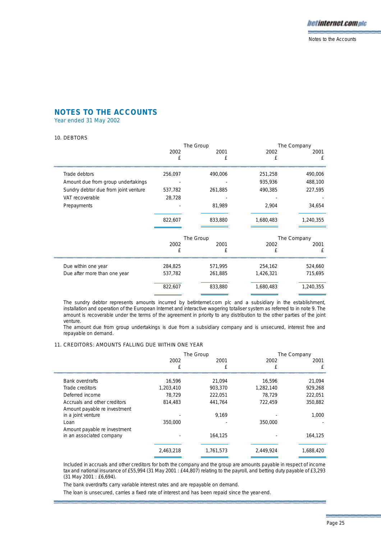Year ended 31 May 2002

#### 10. DEBTORS

|                                      | The Group |           |           | The Company |
|--------------------------------------|-----------|-----------|-----------|-------------|
|                                      | 2002<br>£ | 2001<br>£ | 2002<br>£ | 2001<br>£   |
| Trade debtors                        | 256,097   | 490,006   | 251,258   | 490,006     |
| Amount due from group undertakings   |           |           | 935,936   | 488,100     |
| Sundry debtor due from joint venture | 537,782   | 261,885   | 490,385   | 227,595     |
| VAT recoverable                      | 28,728    |           |           |             |
| Prepayments                          |           | 81,989    | 2,904     | 34,654      |
|                                      | 822,607   | 833,880   | 1,680,483 | 1,240,355   |
|                                      |           | The Group |           | The Company |
|                                      | 2002<br>£ | 2001<br>£ | 2002<br>£ | 2001<br>£   |
| Due within one year                  | 284,825   | 571,995   | 254,162   | 524,660     |
| Due after more than one year         | 537,782   | 261,885   | 1,426,321 | 715,695     |
|                                      | 822,607   | 833,880   | 1,680,483 | 1,240,355   |

The sundry debtor represents amounts incurred by betinternet.com plc and a subsidiary in the establishment, installation and operation of the European Internet and interactive wagering totaliser system as referred to in note 9. The amount is recoverable under the terms of the agreement in priority to any distribution to the other parties of the joint venture.

The amount due from group undertakings is due from a subsidiary company and is unsecured, interest free and repayable on demand.

#### 11. CREDITORS: AMOUNTS FALLING DUE WITHIN ONE YEAR

|                                                    | The Group |           |           | The Company |
|----------------------------------------------------|-----------|-----------|-----------|-------------|
|                                                    | 2002<br>£ | 2001<br>£ | 2002<br>£ | 2001<br>£   |
| <b>Bank overdrafts</b>                             | 16.596    | 21,094    | 16.596    | 21,094      |
| Trade creditors                                    | 1.203.410 | 903.370   | 1.282.140 | 929.268     |
| Deferred income                                    | 78.729    | 222.051   | 78.729    | 222,051     |
| Accruals and other creditors                       | 814.483   | 441.764   | 722.459   | 350.882     |
| Amount payable re investment<br>in a joint venture |           | 9.169     |           | 1.000       |
| Loan                                               | 350,000   |           | 350,000   |             |
| Amount payable re investment                       |           |           |           |             |
| in an associated company                           |           | 164,125   |           | 164.125     |
|                                                    |           |           |           |             |
|                                                    | 2,463,218 | 1,761,573 | 2.449.924 | 1,688,420   |
|                                                    |           |           |           |             |

Included in accruals and other creditors for both the company and the group are amounts payable in respect of income tax and national insurance of £55,994 (31 May 2001 : £44,807) relating to the payroll, and betting duty payable of £3,293 (31 May 2001 : £6,694).

The bank overdrafts carry variable interest rates and are repayable on demand.

The loan is unsecured, carries a fixed rate of interest and has been repaid since the year-end.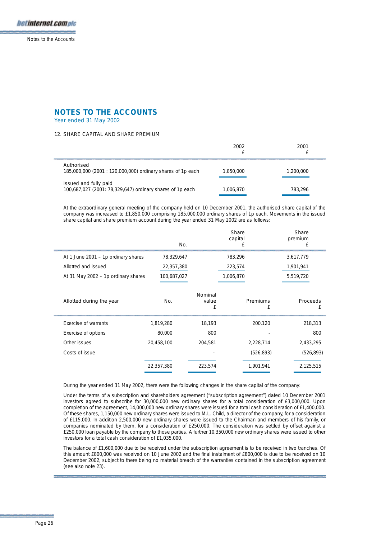

Notes to the Accounts

# **NOTES TO THE ACCOUNTS**

Year ended 31 May 2002

#### 12. SHARE CAPITAL AND SHARE PREMIUM

|                                                                                    | 2002      | 2001      |
|------------------------------------------------------------------------------------|-----------|-----------|
| Authorised<br>185,000,000 (2001: 120,000,000) ordinary shares of 1p each           | 1,850,000 | 1.200.000 |
| Issued and fully paid<br>100,687,027 (2001: 78,329,647) ordinary shares of 1p each | 1.006.870 | 783.296   |

At the extraordinary general meeting of the company held on 10 December 2001, the authorised share capital of the company was increased to £1,850,000 comprising 185,000,000 ordinary shares of 1p each. Movements in the issued share capital and share premium account during the year ended 31 May 2002 are as follows:

|                                     | No.         | Share<br>capital | Share<br>premium |
|-------------------------------------|-------------|------------------|------------------|
| At 1 June 2001 - 1p ordinary shares | 78.329.647  | 783.296          | 3,617,779        |
| Allotted and issued                 | 22,357,380  | 223,574          | 1,901,941        |
| At 31 May 2002 - 1p ordinary shares | 100.687.027 | 1,006,870        | 5,519,720        |

| Allotted during the year | No.        | Nominal<br>value<br>£ | Premiums<br>£ | Proceeds<br>£ |
|--------------------------|------------|-----------------------|---------------|---------------|
| Exercise of warrants     | 1,819,280  | 18.193                | 200,120       | 218,313       |
| Exercise of options      | 80,000     | 800                   |               | 800           |
| Other issues             | 20,458,100 | 204.581               | 2,228,714     | 2,433,295     |
| Costs of issue           |            |                       | (526, 893)    | (526, 893)    |
|                          | 22,357,380 | 223,574               | 1,901,941     | 2,125,515     |

During the year ended 31 May 2002, there were the following changes in the share capital of the company:

Under the terms of a subscription and shareholders agreement ("subscription agreement") dated 10 December 2001 investors agreed to subscribe for 30,000,000 new ordinary shares for a total consideration of £3,000,000. Upon completion of the agreement, 14,000,000 new ordinary shares were issued for a total cash consideration of £1,400,000. Of these shares, 1,150,000 new ordinary shares were issued to M.L. Child, a director of the company, for a consideration of £115,000. In addition 2,500,000 new ordinary shares were issued to the Chairman and members of his family, or companies nominated by them, for a consideration of £250,000. The consideration was settled by offset against a £250,000 loan payable by the company to those parties. A further 10,350,000 new ordinary shares were issued to other investors for a total cash consideration of £1,035,000.

The balance of £1,600,000 due to be received under the subscription agreement is to be received in two tranches. Of this amount £800,000 was received on 10 June 2002 and the final instalment of £800,000 is due to be received on 10 December 2002, subject to there being no material breach of the warranties contained in the subscription agreement (see also note 23).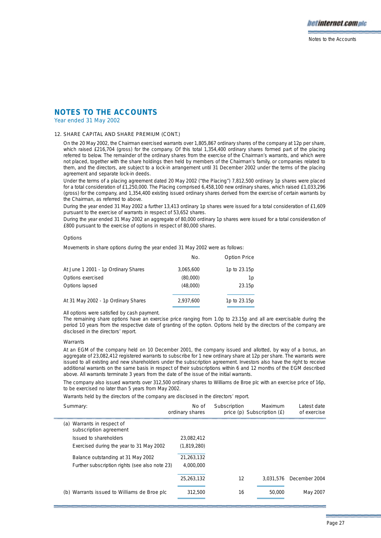Year ended 31 May 2002

#### 12. SHARE CAPITAL AND SHARE PREMIUM (CONT.)

On the 20 May 2002, the Chairman exercised warrants over 1,805,867 ordinary shares of the company at 12p per share, which raised £216,704 (gross) for the company. Of this total 1,354,400 ordinary shares formed part of the placing referred to below. The remainder of the ordinary shares from the exercise of the Chairman's warrants, and which were not placed, together with the share holdings then held by members of the Chairman's family, or companies related to them, and the directors, are subject to a lock-in arrangement until 31 December 2002 under the terms of the placing agreement and separate lock-in deeds.

Under the terms of a placing agreement dated 20 May 2002 ("the Placing") 7,812,500 ordinary 1p shares were placed for a total consideration of £1,250,000. The Placing comprised 6,458,100 new ordinary shares, which raised £1,033,296 (gross) for the company, and 1,354,400 existing issued ordinary shares derived from the exercise of certain warrants by the Chairman, as referred to above.

During the year ended 31 May 2002 a further 13,413 ordinary 1p shares were issued for a total consideration of £1,609 pursuant to the exercise of warrants in respect of 53,652 shares.

During the year ended 31 May 2002 an aggregate of 80,000 ordinary 1p shares were issued for a total consideration of £800 pursuant to the exercise of options in respect of 80,000 shares.

#### **Options**

Movements in share options during the year ended 31 May 2002 were as follows:

|                                     | No.       | <b>Option Price</b> |
|-------------------------------------|-----------|---------------------|
| At June 1 2001 - 1p Ordinary Shares | 3,065,600 | 1p to 23.15p        |
| Options exercised                   | (80,000)  | Ίp                  |
| Options lapsed                      | (48,000)  | 23.15 <sub>p</sub>  |
| At 31 May 2002 - 1p Ordinary Shares | 2,937,600 | 1p to 23.15p        |

All options were satisfied by cash payment.

The remaining share options have an exercise price ranging from 1.0p to 23.15p and all are exercisable during the period 10 years from the respective date of granting of the option. Options held by the directors of the company are disclosed in the directors' report.

#### **Warrants**

At an EGM of the company held on 10 December 2001, the company issued and allotted, by way of a bonus, an aggregate of 23,082,412 registered warrants to subscribe for 1 new ordinary share at 12p per share. The warrants were issued to all existing and new shareholders under the subscription agreement. Investors also have the right to receive additional warrants on the same basis in respect of their subscriptions within 6 and 12 months of the EGM described above. All warrants terminate 3 years from the date of the issue of the initial warrants.

The company also issued warrants over 312,500 ordinary shares to Williams de Broe plc with an exercise price of 16p, to be exercised no later than 5 years from May 2002.

Warrants held by the directors of the company are disclosed in the directors' report.

| Summary:                                                | No of<br>ordinary shares | Subscription | Maximum<br>price (p) Subscription (f) | Latest date<br>of exercise |
|---------------------------------------------------------|--------------------------|--------------|---------------------------------------|----------------------------|
| Warrants in respect of<br>(a)<br>subscription agreement |                          |              |                                       |                            |
| Issued to shareholders                                  | 23.082.412               |              |                                       |                            |
| Exercised during the year to 31 May 2002                | (1,819,280)              |              |                                       |                            |
| Balance outstanding at 31 May 2002                      | 21.263.132               |              |                                       |                            |
| Further subscription rights (see also note 23)          | 4.000.000                |              |                                       |                            |
|                                                         | 25.263.132               | 12           | 3.031.576                             | December 2004              |
| (b) Warrants issued to Williams de Broe plc             | 312,500                  | 16           | 50,000                                | May 2007                   |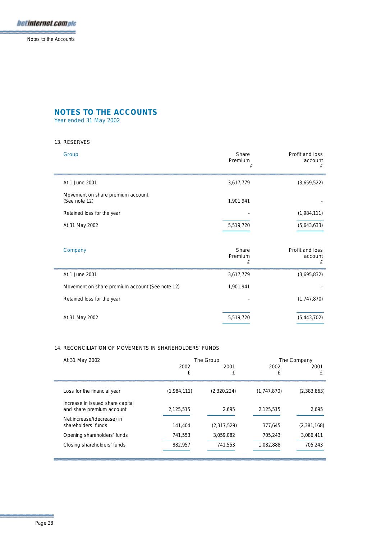

Notes to the Accounts

# **NOTES TO THE ACCOUNTS**

Year ended 31 May 2002

#### 13. RESERVES

Î,

| Group                                              | Share<br>Premium<br>£ | Profit and loss<br>account<br>£ |
|----------------------------------------------------|-----------------------|---------------------------------|
| At 1 June 2001                                     | 3,617,779             | (3,659,522)                     |
| Movement on share premium account<br>(See note 12) | 1,901,941             |                                 |
| Retained loss for the year                         |                       | (1,984,111)                     |
| At 31 May 2002                                     | 5,519,720             | (5,643,633)                     |

| Company                                         | Share<br>Premium<br>£ | Profit and loss<br>account<br>£ |
|-------------------------------------------------|-----------------------|---------------------------------|
| At 1 June 2001                                  | 3,617,779             | (3,695,832)                     |
| Movement on share premium account (See note 12) | 1,901,941             |                                 |
| Retained loss for the year                      |                       | (1,747,870)                     |
| At 31 May 2002                                  | 5,519,720             | (5,443,702)                     |

#### 14. RECONCILIATION OF MOVEMENTS IN SHAREHOLDERS' FUNDS

| At 31 May 2002                                                |             | The Group   |             | The Company |
|---------------------------------------------------------------|-------------|-------------|-------------|-------------|
|                                                               | 2002<br>£   | 2001<br>£   | 2002<br>£   | 2001<br>£   |
| Loss for the financial year                                   | (1,984,111) | (2,320,224) | (1,747,870) | (2,383,863) |
| Increase in issued share capital<br>and share premium account | 2.125.515   | 2.695       | 2.125.515   | 2.695       |
| Net increase/(decrease) in<br>shareholders' funds             | 141.404     | (2,317,529) | 377.645     | (2,381,168) |
| Opening shareholders' funds                                   | 741.553     | 3.059.082   | 705.243     | 3.086.411   |
| Closing shareholders' funds                                   | 882,957     | 741,553     | 1,082,888   | 705.243     |

۳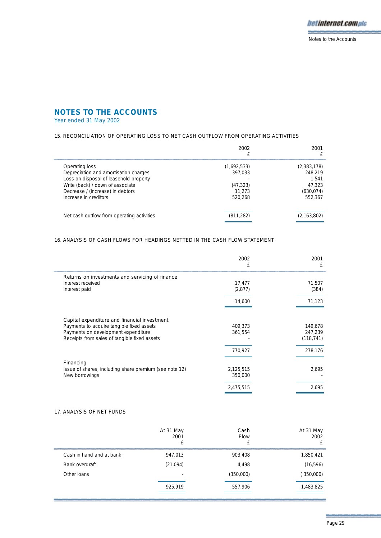

Year ended 31 May 2002

#### 15. RECONCILIATION OF OPERATING LOSS TO NET CASH OUTFLOW FROM OPERATING ACTIVITIES

|                                                                                                                                                                                                    | 2002                                                     | 2001                                                               |
|----------------------------------------------------------------------------------------------------------------------------------------------------------------------------------------------------|----------------------------------------------------------|--------------------------------------------------------------------|
| Operating loss<br>Depreciation and amortisation charges<br>Loss on disposal of leasehold property<br>Write (back) / down of associate<br>Decrease / (increase) in debtors<br>Increase in creditors | (1,692,533)<br>397.033<br>(47, 323)<br>11.273<br>520.268 | (2,383,178)<br>248.219<br>1.541<br>47.323<br>(630, 074)<br>552.367 |
| Net cash outflow from operating activities                                                                                                                                                         | (811, 282)                                               | (2, 163, 802)                                                      |

#### 16. ANALYSIS OF CASH FLOWS FOR HEADINGS NETTED IN THE CASH FLOW STATEMENT

|                                                                                                                                                                                  | 2002<br>£            | 2001<br>£                        |
|----------------------------------------------------------------------------------------------------------------------------------------------------------------------------------|----------------------|----------------------------------|
| Returns on investments and servicing of finance<br>Interest received<br>Interest paid                                                                                            | 17,477<br>(2, 877)   | 71,507<br>(384)                  |
|                                                                                                                                                                                  | 14,600               | 71,123                           |
| Capital expenditure and financial investment<br>Payments to acquire tangible fixed assets<br>Payments on development expenditure<br>Receipts from sales of tangible fixed assets | 409,373<br>361,554   | 149,678<br>247,239<br>(118, 741) |
|                                                                                                                                                                                  | 770.927              | 278.176                          |
| Financing<br>Issue of shares, including share premium (see note 12)<br>New borrowings                                                                                            | 2,125,515<br>350,000 | 2,695                            |
|                                                                                                                                                                                  | 2,475,515            | 2,695                            |

#### 17. ANALYSIS OF NET FUNDS

|                          | At 31 May<br>2001<br>£   | Cash<br><b>Flow</b><br>£ | At 31 May<br>2002<br>£ |
|--------------------------|--------------------------|--------------------------|------------------------|
| Cash in hand and at bank | 947,013                  | 903,408                  | 1,850,421              |
| Bank overdraft           | (21,094)                 | 4,498                    | (16, 596)              |
| Other loans              | $\overline{\phantom{a}}$ | (350,000)                | (350,000)              |
|                          | 925.919                  | 557,906                  | 1,483,825              |
|                          |                          |                          |                        |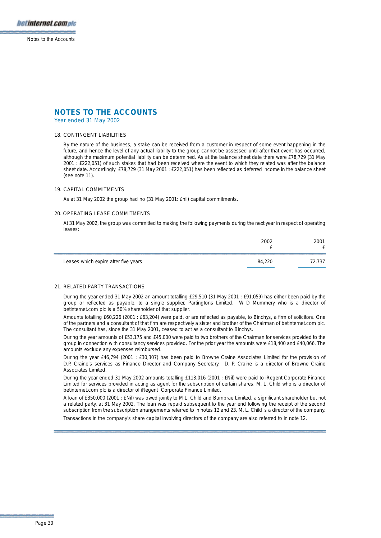

Notes to the Accounts

# **NOTES TO THE ACCOUNTS**

Year ended 31 May 2002

#### 18. CONTINGENT LIABILITIES

By the nature of the business, a stake can be received from a customer in respect of some event happening in the future, and hence the level of any actual liability to the group cannot be assessed until after that event has occurred, although the maximum potential liability can be determined. As at the balance sheet date there were £78,729 (31 May 2001 : £222,051) of such stakes that had been received where the event to which they related was after the balance sheet date. Accordingly £78,729 (31 May 2001 : £222,051) has been reflected as deferred income in the balance sheet (see note 11).

#### 19. CAPITAL COMMITMENTS

 $\sim$ 

As at 31 May 2002 the group had no (31 May 2001: £nil) capital commitments.

#### 20. OPERATING LEASE COMMITMENTS

At 31 May 2002, the group was committed to making the following payments during the next year in respect of operating leases:

|                                      | 2002   | 2001   |
|--------------------------------------|--------|--------|
| Leases which expire after five years | 84,220 | 72.737 |

#### 21. RELATED PARTY TRANSACTIONS

During the year ended 31 May 2002 an amount totalling £29,510 (31 May 2001 : £91,059) has either been paid by the group or reflected as payable, to a single supplier, Partingtons Limited. W D Mummery who is a director of betinternet.com plc is a 50% shareholder of that supplier.

Amounts totalling £60,226 (2001 : £63,204) were paid, or are reflected as payable, to Binchys, a firm of solicitors. One of the partners and a consultant of that firm are respectively a sister and brother of the Chairman of betinternet.com plc. The consultant has, since the 31 May 2001, ceased to act as a consultant to Binchys.

During the year amounts of £53,175 and £45,000 were paid to two brothers of the Chairman for services provided to the group in connection with consultancy services provided. For the prior year the amounts were £18,400 and £40,066. The amounts exclude any expenses reimbursed.

During the year £46,794 (2001 : £30,307) has been paid to Browne Craine Associates Limited for the provision of D.P. Craine's services as Finance Director and Company Secretary. D. P. Craine is a director of Browne Craine Associates Limited.

During the year ended 31 May 2002 amounts totalling £113,016 (2001 : £Nil) were paid to iRegent Corporate Finance Limited for services provided in acting as agent for the subscription of certain shares. M. L. Child who is a director of betinternet.com plc is a director of iRegent Corporate Finance Limited.

A loan of £350,000 (2001 : £Nil) was owed jointly to M.L. Child and Burnbrae Limited, a significant shareholder but not a related party, at 31 May 2002. The loan was repaid subsequent to the year end following the receipt of the second subscription from the subscription arrangements referred to in notes 12 and 23. M. L. Child is a director of the company.

Transactions in the company's share capital involving directors of the company are also referred to in note 12.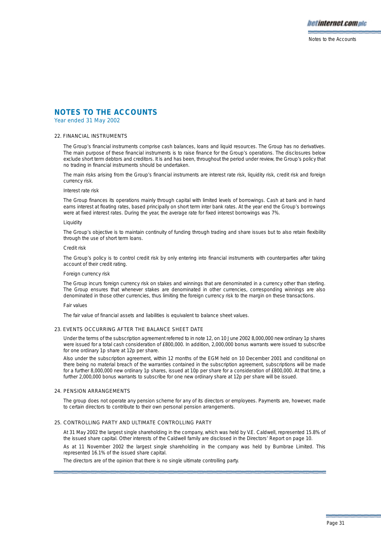Year ended 31 May 2002

#### 22. FINANCIAL INSTRUMENTS

The Group's financial instruments comprise cash balances, loans and liquid resources. The Group has no derivatives. The main purpose of these financial instruments is to raise finance for the Group's operations. The disclosures below exclude short term debtors and creditors. It is and has been, throughout the period under review, the Group's policy that no trading in financial instruments should be undertaken.

The main risks arising from the Group's financial instruments are interest rate risk, liquidity risk, credit risk and foreign currency risk.

#### Interest rate risk

The Group finances its operations mainly through capital with limited levels of borrowings. Cash at bank and in hand earns interest at floating rates, based principally on short term inter bank rates. At the year end the Group's borrowings were at fixed interest rates. During the year, the average rate for fixed interest borrowings was 7%.

#### Liquidity

The Group's objective is to maintain continuity of funding through trading and share issues but to also retain flexibility through the use of short term loans.

#### Credit risk

The Group's policy is to control credit risk by only entering into financial instruments with counterparties after taking account of their credit rating.

#### Foreign currency risk

The Group incurs foreign currency risk on stakes and winnings that are denominated in a currency other than sterling. The Group ensures that whenever stakes are denominated in other currencies, corresponding winnings are also denominated in those other currencies, thus limiting the foreign currency risk to the margin on these transactions.

#### Fair values

The fair value of financial assets and liabilities is equivalent to balance sheet values.

#### 23. EVENTS OCCURRING AFTER THE BALANCE SHEET DATE

Under the terms of the subscription agreement referred to in note 12, on 10 June 2002 8,000,000 new ordinary 1p shares were issued for a total cash consideration of £800,000. In addition, 2,000,000 bonus warrants were issued to subscribe for one ordinary 1p share at 12p per share.

Also under the subscription agreement, within 12 months of the EGM held on 10 December 2001 and conditional on there being no material breach of the warranties contained in the subscription agreement, subscriptions will be made for a further 8,000,000 new ordinary 1p shares, issued at 10p per share for a consideration of £800,000. At that time, a further 2,000,000 bonus warrants to subscribe for one new ordinary share at 12p per share will be issued.

#### 24. PENSION ARRANGEMENTS

The group does not operate any pension scheme for any of its directors or employees. Payments are, however, made to certain directors to contribute to their own personal pension arrangements.

#### 25. CONTROLLING PARTY AND ULTIMATE CONTROLLING PARTY

At 31 May 2002 the largest single shareholding in the company, which was held by V.E. Caldwell, represented 15.8% of the issued share capital. Other interests of the Caldwell family are disclosed in the Directors' Report on page 10.

As at 11 November 2002 the largest single shareholding in the company was held by Burnbrae Limited. This represented 16.1% of the issued share capital.

The directors are of the opinion that there is no single ultimate controlling party.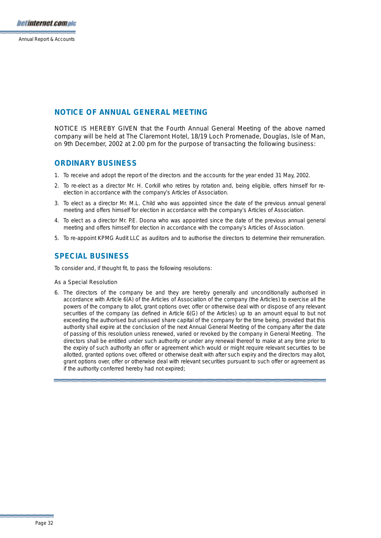# **NOTICE OF ANNUAL GENERAL MEETING**

NOTICE IS HEREBY GIVEN that the Fourth Annual General Meeting of the above named company will be held at The Claremont Hotel, 18/19 Loch Promenade, Douglas, Isle of Man, on 9th December, 2002 at 2.00 pm for the purpose of transacting the following business:

# **ORDINARY BUSINESS**

- 1. To receive and adopt the report of the directors and the accounts for the year ended 31 May, 2002.
- 2. To re-elect as a director Mr. H. Corkill who retires by rotation and, being eligible, offers himself for reelection in accordance with the company's Articles of Association.
- 3. To elect as a director Mr. M.L. Child who was appointed since the date of the previous annual general meeting and offers himself for election in accordance with the company's Articles of Association.
- 4. To elect as a director Mr. P.E. Doona who was appointed since the date of the previous annual general meeting and offers himself for election in accordance with the company's Articles of Association.
- 5. To re-appoint KPMG Audit LLC as auditors and to authorise the directors to determine their remuneration.

# **SPECIAL BUSINESS**

To consider and, if thought fit, to pass the following resolutions:

#### As a Special Resolution

6. The directors of the company be and they are hereby generally and unconditionally authorised in accordance with Article 6(A) of the Articles of Association of the company (the Articles) to exercise all the powers of the company to allot, grant options over, offer or otherwise deal with or dispose of any relevant securities of the company (as defined in Article 6(G) of the Articles) up to an amount equal to but not exceeding the authorised but unissued share capital of the company for the time being, provided that this authority shall expire at the conclusion of the next Annual General Meeting of the company after the date of passing of this resolution unless renewed, varied or revoked by the company in General Meeting. The directors shall be entitled under such authority or under any renewal thereof to make at any time prior to the expiry of such authority an offer or agreement which would or might require relevant securities to be allotted, granted options over, offered or otherwise dealt with after such expiry and the directors may allot, grant options over, offer or otherwise deal with relevant securities pursuant to such offer or agreement as if the authority conferred hereby had not expired;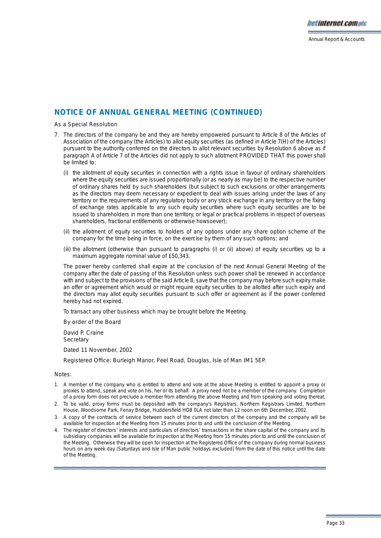# **NOTICE OF ANNUAL GENERAL MEETING (CONTINUED)**

#### As a Special Resolution

- 7. The directors of the company be and they are hereby empowered pursuant to Article 8 of the Articles of Association of the company (the Articles) to allot equity securities (as defined in Article 7(H) of the Articles) pursuant to the authority conferred on the directors to allot relevant securities by Resolution 6 above as if paragraph A of Article 7 of the Articles did not apply to such allotment PROVIDED THAT this power shall be limited to:
	- (i) the allotment of equity securities in connection with a rights issue in favour of ordinary shareholders where the equity securities are issued proportionally (or as nearly as may be) to the respective number of ordinary shares held by such shareholders (but subject to such exclusions or other arrangements as the directors may deem necessary or expedient to deal with issues arising under the laws of any territory or the requirements of any regulatory body or any stock exchange in any territory or the fixing of exchange rates applicable to any such equity securities where such equity securities are to be issued to shareholders in more than one territory, or legal or practical problems in respect of overseas shareholders, fractional entitlements or otherwise howsoever);
	- (ii) the allotment of equity securities to holders of any options under any share option scheme of the company for the time being in force, on the exercise by them of any such options; and
	- (iii) the allotment (otherwise than pursuant to paragraphs (i) or (ii) above) of equity securities up to a maximum aggregate nominal value of £50,343.

The power hereby conferred shall expire at the conclusion of the next Annual General Meeting of the company after the date of passing of this Resolution unless such power shall be renewed in accordance with and subject to the provisions of the said Article 8, save that the company may before such expiry make an offer or agreement which would or might require equity securities to be allotted after such expiry and the directors may allot equity securities pursuant to such offer or agreement as if the power conferred hereby had not expired.

To transact any other business which may be brought before the Meeting.

By order of the Board

David P. Craine **Secretary** 

Dated 11 November, 2002

Registered Office: Burleigh Manor, Peel Road, Douglas, Isle of Man IM1 5EP.

#### Notes:

- 1. A member of the company who is entitled to attend and vote at the above Meeting is entitled to appoint a proxy or proxies to attend, speak and vote on his, her or its behalf. A proxy need not be a member of the company. Completion of a proxy form does not preclude a member from attending the above Meeting and from speaking and voting thereat.
- 2. To be valid, proxy forms must be deposited with the company's Registrars, Northern Registrars Limited, Northern House, Woodsome Park, Fenay Bridge, Huddersfield HD8 0LA not later than 12 noon on 6th December, 2002.
- 3. A copy of the contracts of service between each of the current directors of the company and the company will be available for inspection at the Meeting from 15 minutes prior to and until the conclusion of the Meeting.
- 4. The register of directors' interests and particulars of directors' transactions in the share capital of the company and its subsidiary companies will be available for inspection at the Meeting from 15 minutes prior to and until the conclusion of the Meeting. Otherwise they will be open for inspection at the Registered Office of the company during normal business hours on any week day (Saturdays and Isle of Man public holidays excluded) from the date of this notice until the date of the Meeting.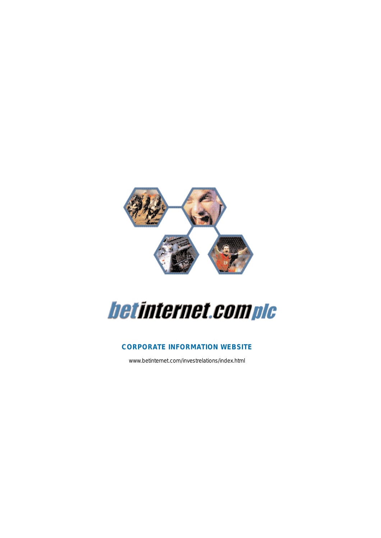

# betinternet.complc

# **CORPORATE INFORMATION WEBSITE**

www.betinternet.com/investrelations/index.html